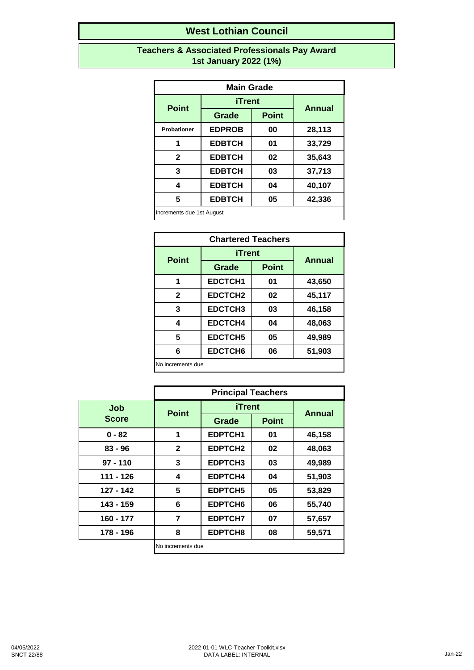#### **Teachers & Associated Professionals Pay Award 1st January 2022 (1%)**

| <b>Main Grade</b>  |               |              |               |  |
|--------------------|---------------|--------------|---------------|--|
|                    | iTrent        |              | <b>Annual</b> |  |
| <b>Point</b>       | Grade         | <b>Point</b> |               |  |
| <b>Probationer</b> | <b>EDPROB</b> | 00           | 28,113        |  |
| 1                  | <b>EDBTCH</b> | 01           | 33,729        |  |
| $\mathbf{2}$       | <b>EDBTCH</b> | 02           | 35,643        |  |
| 3                  | <b>EDBTCH</b> | 03           | 37,713        |  |
| 4                  | <b>EDBTCH</b> | 04           | 40,107        |  |
| 5                  | <b>EDBTCH</b> | 05           | 42,336        |  |
|                    |               |              |               |  |

Increments due 1st August

| <b>Chartered Teachers</b> |                |              |               |
|---------------------------|----------------|--------------|---------------|
| <b>Point</b>              | <b>iTrent</b>  |              | <b>Annual</b> |
|                           | Grade          | <b>Point</b> |               |
| 1                         | <b>EDCTCH1</b> | 01           | 43,650        |
| $\mathbf{2}$              | EDCTCH2        | 02           | 45,117        |
| 3                         | EDCTCH3        | 03           | 46,158        |
| 4                         | <b>EDCTCH4</b> | 04           | 48,063        |
| 5                         | <b>EDCTCH5</b> | 05           | 49,989        |
| 6                         | EDCTCH6        | 06           | 51,903        |
| No increments due         |                |              |               |

|              | <b>Principal Teachers</b> |                |              |               |
|--------------|---------------------------|----------------|--------------|---------------|
| Job          | <b>Point</b>              | <b>iTrent</b>  |              |               |
| <b>Score</b> |                           | <b>Grade</b>   | <b>Point</b> | <b>Annual</b> |
| $0 - 82$     | 1                         | <b>EDPTCH1</b> | 01           | 46,158        |
| $83 - 96$    | $\mathbf{2}$              | <b>EDPTCH2</b> | 02           | 48,063        |
| $97 - 110$   | 3                         | <b>EDPTCH3</b> | 03           | 49,989        |
| 111 - 126    | 4                         | <b>EDPTCH4</b> | 04           | 51,903        |
| $127 - 142$  | 5                         | <b>EDPTCH5</b> | 05           | 53,829        |
| 143 - 159    | 6                         | <b>EDPTCH6</b> | 06           | 55,740        |
| $160 - 177$  | 7                         | <b>EDPTCH7</b> | 07           | 57,657        |
| 178 - 196    | 8                         | EDPTCH8        | 08           | 59,571        |
|              | No increments due         |                |              |               |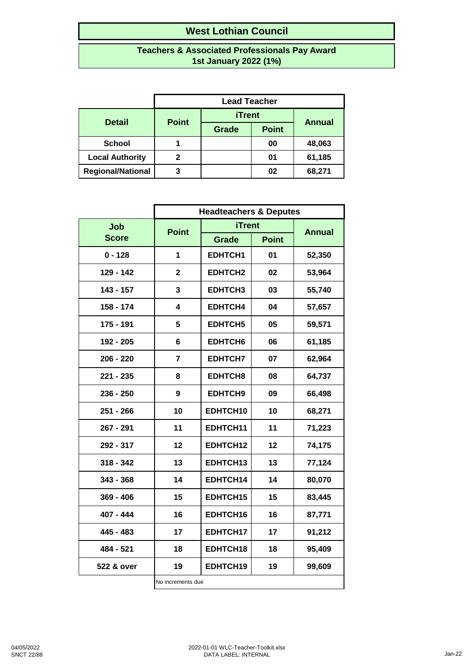#### **Teachers & Associated Professionals Pay Award 1st January 2022 (1%)**

|                          | <b>Lead Teacher</b> |               |              |        |
|--------------------------|---------------------|---------------|--------------|--------|
| <b>Detail</b>            | <b>Point</b>        | <b>iTrent</b> |              | Annual |
|                          |                     | Grade         | <b>Point</b> |        |
| <b>School</b>            |                     |               | 00           | 48,063 |
| <b>Local Authority</b>   | 2                   |               | 01           | 61,185 |
| <b>Regional/National</b> | 3                   |               | 02           | 68,271 |

|              | <b>Headteachers &amp; Deputes</b> |                |              |               |
|--------------|-----------------------------------|----------------|--------------|---------------|
| <b>Job</b>   | <b>Point</b>                      | <b>iTrent</b>  |              | <b>Annual</b> |
| <b>Score</b> |                                   | Grade          | <b>Point</b> |               |
| $0 - 128$    | 1                                 | EDHTCH1        | 01           | 52,350        |
| 129 - 142    | $\mathbf 2$                       | EDHTCH2        | 02           | 53,964        |
| 143 - 157    | 3                                 | <b>EDHTCH3</b> | 03           | 55,740        |
| 158 - 174    | 4                                 | <b>EDHTCH4</b> | 04           | 57,657        |
| 175 - 191    | 5                                 | EDHTCH5        | 05           | 59,571        |
| 192 - 205    | 6                                 | EDHTCH6        | 06           | 61,185        |
| $206 - 220$  | $\overline{\mathbf{r}}$           | <b>EDHTCH7</b> | 07           | 62,964        |
| 221 - 235    | 8                                 | EDHTCH8        | 08           | 64,737        |
| $236 - 250$  | 9                                 | <b>EDHTCH9</b> | 09           | 66,498        |
| $251 - 266$  | 10                                | EDHTCH10       | 10           | 68,271        |
| 267 - 291    | 11                                | EDHTCH11       | 11           | 71,223        |
| 292 - 317    | 12                                | EDHTCH12       | 12           | 74,175        |
| $318 - 342$  | 13                                | EDHTCH13       | 13           | 77,124        |
| $343 - 368$  | 14                                | EDHTCH14       | 14           | 80,070        |
| $369 - 406$  | 15                                | EDHTCH15       | 15           | 83,445        |
| 407 - 444    | 16                                | EDHTCH16       | 16           | 87,771        |
| 445 - 483    | 17                                | EDHTCH17       | 17           | 91,212        |
| 484 - 521    | 18                                | EDHTCH18       | 18           | 95,409        |
| 522 & over   | 19                                | EDHTCH19       | 19           | 99,609        |
|              | No increments due                 |                |              |               |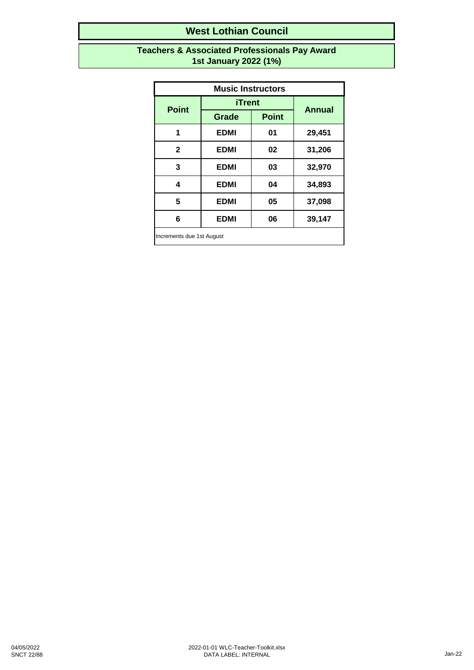#### **Teachers & Associated Professionals Pay Award 1st January 2022 (1%)**

| <b>Music Instructors</b>  |               |              |               |
|---------------------------|---------------|--------------|---------------|
| <b>Point</b>              | <b>iTrent</b> |              | <b>Annual</b> |
|                           | <b>Grade</b>  | <b>Point</b> |               |
| 1                         | <b>EDMI</b>   | 01           | 29,451        |
| $\mathbf{2}$              | <b>EDMI</b>   | 02           | 31,206        |
| 3                         | <b>EDMI</b>   | 03           | 32,970        |
| 4                         | <b>EDMI</b>   | 04           | 34,893        |
| 5                         | <b>EDMI</b>   | 05           | 37,098        |
| 6                         | <b>EDMI</b>   | 06           | 39,147        |
| Increments due 1st August |               |              |               |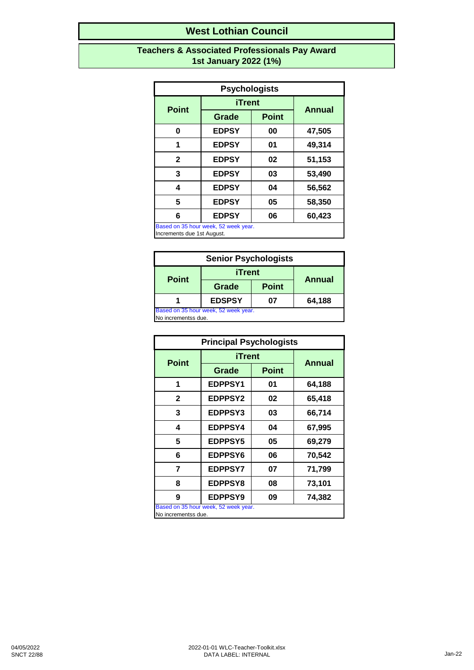#### **Teachers & Associated Professionals Pay Award 1st January 2022 (1%)**

| <b>Psychologists</b>                      |               |              |               |  |
|-------------------------------------------|---------------|--------------|---------------|--|
| <b>Point</b>                              | <b>iTrent</b> |              |               |  |
|                                           | Grade         | <b>Point</b> | <b>Annual</b> |  |
| 0                                         | <b>EDPSY</b>  | 00           | 47,505        |  |
| 1                                         | <b>EDPSY</b>  | 01           | 49,314        |  |
| $\mathbf{2}$                              | <b>EDPSY</b>  | 02           | 51,153        |  |
| 3                                         | <b>EDPSY</b>  | 03           | 53,490        |  |
| 4                                         | <b>EDPSY</b>  | 04           | 56,562        |  |
| 5                                         | <b>EDPSY</b>  | 05           | 58,350        |  |
| 6                                         | <b>EDPSY</b>  | 06           | 60,423        |  |
| Based on 35 hour week, 52 week year.<br>h |               |              |               |  |

Increments due 1st August.

| <b>Senior Psychologists</b>                                 |               |              |               |  |
|-------------------------------------------------------------|---------------|--------------|---------------|--|
| <b>Point</b>                                                |               |              |               |  |
|                                                             | Grade         | <b>Point</b> | <b>Annual</b> |  |
|                                                             | <b>EDSPSY</b> | 64,188       |               |  |
| Based on 35 hour week, 52 week year.<br>No incrementss due. |               |              |               |  |

| <b>Principal Psychologists</b>                              |                |              |               |
|-------------------------------------------------------------|----------------|--------------|---------------|
| <b>Point</b>                                                | iTrent         |              | <b>Annual</b> |
|                                                             | Grade          | <b>Point</b> |               |
| 1                                                           | <b>EDPPSY1</b> | 01           | 64,188        |
| $\mathbf{2}$                                                | <b>EDPPSY2</b> | 02           | 65,418        |
| 3                                                           | <b>EDPPSY3</b> | 03           | 66,714        |
| 4                                                           | <b>EDPPSY4</b> | 04           | 67,995        |
| 5                                                           | <b>EDPPSY5</b> | 05           | 69,279        |
| 6                                                           | <b>EDPPSY6</b> | 06           | 70,542        |
| 7                                                           | <b>EDPPSY7</b> | 07           | 71,799        |
| 8                                                           | <b>EDPPSY8</b> | 08           | 73,101        |
| 9                                                           | <b>EDPPSY9</b> | 09           | 74,382        |
| Based on 35 hour week, 52 week year.<br>No incrementss due. |                |              |               |